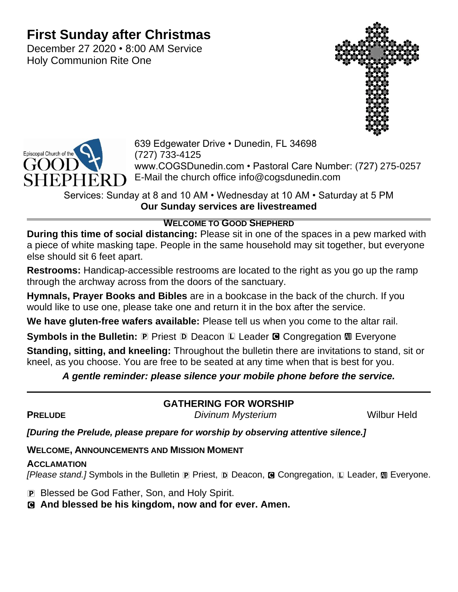# **First Sunday after Christmas**

December 27 2020 • 8:00 AM Service Holy Communion Rite One





639 Edgewater Drive • Dunedin, FL 34698 (727) 733-4125 www.COGSDunedin.com • Pastoral Care Number: (727) 275-0257 E-Mail the church office info@cogsdunedin.com

Services: Sunday at 8 and 10 AM • Wednesday at 10 AM • Saturday at 5 PM **Our Sunday services are livestreamed**

## **WELCOME TO GOOD SHEPHERD**

**During this time of social distancing:** Please sit in one of the spaces in a pew marked with a piece of white masking tape. People in the same household may sit together, but everyone else should sit 6 feet apart.

**Restrooms:** Handicap-accessible restrooms are located to the right as you go up the ramp through the archway across from the doors of the sanctuary.

**Hymnals, Prayer Books and Bibles** are in a bookcase in the back of the church. If you would like to use one, please take one and return it in the box after the service.

**We have gluten-free wafers available:** Please tell us when you come to the altar rail.

**Symbols in the Bulletin: <b>P** Priest **D** Deacon **L** Leader **G** Congregation **M** Everyone

**Standing, sitting, and kneeling:** Throughout the bulletin there are invitations to stand, sit or kneel, as you choose. You are free to be seated at any time when that is best for you.

# *A gentle reminder: please silence your mobile phone before the service.*

**GATHERING FOR WORSHIP**

**PRELUDE** *Divinum Mysterium* **Divinum Divinum** 

*[During the Prelude, please prepare for worship by observing attentive silence.]*

# **WELCOME, ANNOUNCEMENTS AND MISSION MOMENT**

# **ACCLAMATION**

*[Please stand.]* Symbols in the Bulletin **P** Priest, **D** Deacon, **G** Congregation, **L** Leader, **M** Everyone.

P Blessed be God Father, Son, and Holy Spirit.

C **And blessed be his kingdom, now and for ever. Amen.**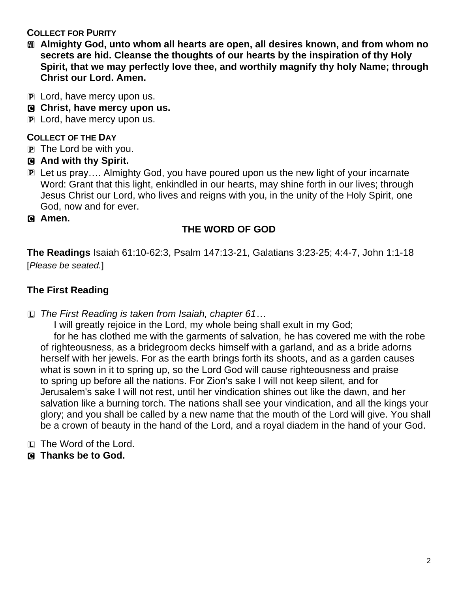#### **COLLECT FOR PURITY**

- a **Almighty God, unto whom all hearts are open, all desires known, and from whom no secrets are hid. Cleanse the thoughts of our hearts by the inspiration of thy Holy Spirit, that we may perfectly love thee, and worthily magnify thy holy Name; through Christ our Lord. Amen.**
- P Lord, have mercy upon us.
- C **Christ, have mercy upon us.**
- P Lord, have mercy upon us.

#### **COLLECT OF THE DAY**

- P The Lord be with you.
- C **And with thy Spirit.**
- P Let us pray…. Almighty God, you have poured upon us the new light of your incarnate Word: Grant that this light, enkindled in our hearts, may shine forth in our lives; through Jesus Christ our Lord, who lives and reigns with you, in the unity of the Holy Spirit, one God, now and for ever.
- C **Amen.**

## **THE WORD OF GOD**

**The Readings** Isaiah 61:10-62:3, Psalm 147:13-21, Galatians 3:23-25; 4:4-7, John 1:1-18 [*Please be seated.*]

# **The First Reading**

L *The First Reading is taken from Isaiah, chapter 61…*

I will greatly rejoice in the Lord, my whole being shall exult in my God; for he has clothed me with the garments of salvation, he has covered me with the robe of righteousness, as a bridegroom decks himself with a garland, and as a bride adorns herself with her jewels. For as the earth brings forth its shoots, and as a garden causes what is sown in it to spring up, so the Lord God will cause righteousness and praise to spring up before all the nations. For Zion's sake I will not keep silent, and for Jerusalem's sake I will not rest, until her vindication shines out like the dawn, and her salvation like a burning torch. The nations shall see your vindication, and all the kings your glory; and you shall be called by a new name that the mouth of the Lord will give. You shall be a crown of beauty in the hand of the Lord, and a royal diadem in the hand of your God.

- L The Word of the Lord.
- C **Thanks be to God.**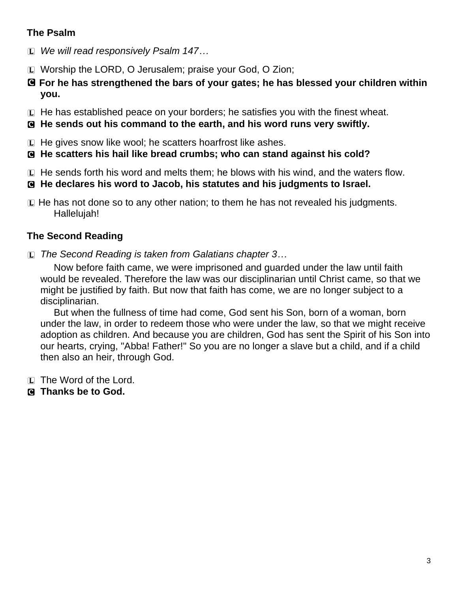# **The Psalm**

- L *We will read responsively Psalm 147…*
- L Worship the LORD, O Jerusalem; praise your God, O Zion;
- C **For he has strengthened the bars of your gates; he has blessed your children within you.**
- L He has established peace on your borders; he satisfies you with the finest wheat.
- C **He sends out his command to the earth, and his word runs very swiftly.**

L He gives snow like wool; he scatters hoarfrost like ashes.

- C **He scatters his hail like bread crumbs; who can stand against his cold?**
- L He sends forth his word and melts them; he blows with his wind, and the waters flow.
- C **He declares his word to Jacob, his statutes and his judgments to Israel.**
- $\Box$  He has not done so to any other nation; to them he has not revealed his judgments. Hallelujah!

# **The Second Reading**

L *The Second Reading is taken from Galatians chapter 3…*

Now before faith came, we were imprisoned and guarded under the law until faith would be revealed. Therefore the law was our disciplinarian until Christ came, so that we might be justified by faith. But now that faith has come, we are no longer subject to a disciplinarian.

But when the fullness of time had come, God sent his Son, born of a woman, born under the law, in order to redeem those who were under the law, so that we might receive adoption as children. And because you are children, God has sent the Spirit of his Son into our hearts, crying, "Abba! Father!" So you are no longer a slave but a child, and if a child then also an heir, through God.

- L The Word of the Lord.
- C **Thanks be to God.**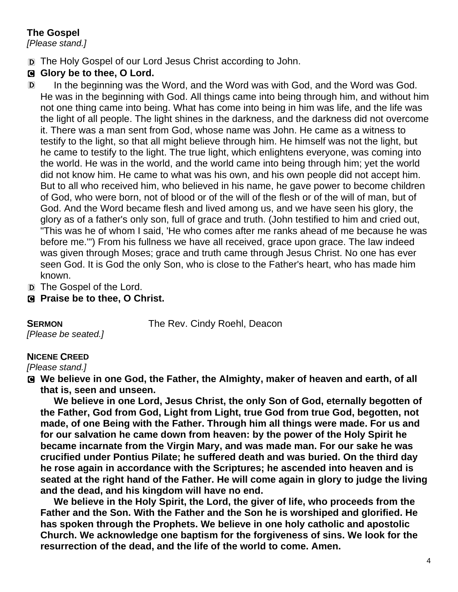# **The Gospel**

*[Please stand.]*

D The Holy Gospel of our Lord Jesus Christ according to John.

# G Glory be to thee, O Lord.

- D In the beginning was the Word, and the Word was with God, and the Word was God. He was in the beginning with God. All things came into being through him, and without him not one thing came into being. What has come into being in him was life, and the life was the light of all people. The light shines in the darkness, and the darkness did not overcome it. There was a man sent from God, whose name was John. He came as a witness to testify to the light, so that all might believe through him. He himself was not the light, but he came to testify to the light. The true light, which enlightens everyone, was coming into the world. He was in the world, and the world came into being through him; yet the world did not know him. He came to what was his own, and his own people did not accept him. But to all who received him, who believed in his name, he gave power to become children of God, who were born, not of blood or of the will of the flesh or of the will of man, but of God. And the Word became flesh and lived among us, and we have seen his glory, the glory as of a father's only son, full of grace and truth. (John testified to him and cried out, "This was he of whom I said, 'He who comes after me ranks ahead of me because he was before me.'") From his fullness we have all received, grace upon grace. The law indeed was given through Moses; grace and truth came through Jesus Christ. No one has ever seen God. It is God the only Son, who is close to the Father's heart, who has made him known.
- D The Gospel of the Lord.
- C **Praise be to thee, O Christ.**

**SERMON** The Rev. Cindy Roehl, Deacon

*[Please be seated.]*

#### **NICENE CREED**

*[Please stand.]*

C **We believe in one God, the Father, the Almighty, maker of heaven and earth, of all that is, seen and unseen.** 

**We believe in one Lord, Jesus Christ, the only Son of God, eternally begotten of the Father, God from God, Light from Light, true God from true God, begotten, not made, of one Being with the Father. Through him all things were made. For us and for our salvation he came down from heaven: by the power of the Holy Spirit he became incarnate from the Virgin Mary, and was made man. For our sake he was crucified under Pontius Pilate; he suffered death and was buried. On the third day he rose again in accordance with the Scriptures; he ascended into heaven and is seated at the right hand of the Father. He will come again in glory to judge the living and the dead, and his kingdom will have no end.**

**We believe in the Holy Spirit, the Lord, the giver of life, who proceeds from the Father and the Son. With the Father and the Son he is worshiped and glorified. He has spoken through the Prophets. We believe in one holy catholic and apostolic Church. We acknowledge one baptism for the forgiveness of sins. We look for the resurrection of the dead, and the life of the world to come. Amen.**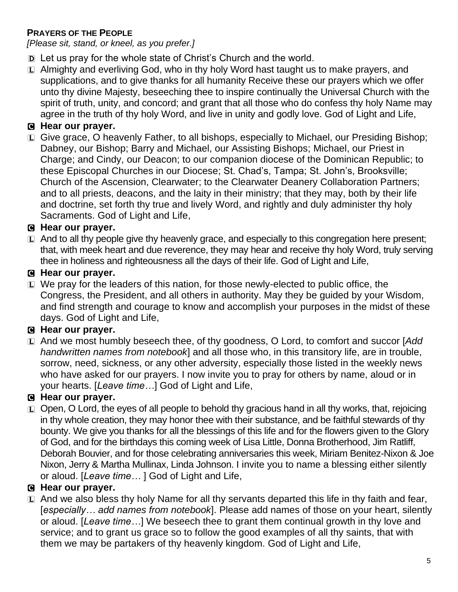# **PRAYERS OF THE PEOPLE**

*[Please sit, stand, or kneel, as you prefer.]*

- D Let us pray for the whole state of Christ's Church and the world.
- L Almighty and everliving God, who in thy holy Word hast taught us to make prayers, and supplications, and to give thanks for all humanity Receive these our prayers which we offer unto thy divine Majesty, beseeching thee to inspire continually the Universal Church with the spirit of truth, unity, and concord; and grant that all those who do confess thy holy Name may agree in the truth of thy holy Word, and live in unity and godly love. God of Light and Life,

# C **Hear our prayer.**

L Give grace, O heavenly Father, to all bishops, especially to Michael, our Presiding Bishop; Dabney, our Bishop; Barry and Michael, our Assisting Bishops; Michael, our Priest in Charge; and Cindy, our Deacon; to our companion diocese of the Dominican Republic; to these Episcopal Churches in our Diocese; St. Chad's, Tampa; St. John's, Brooksville; Church of the Ascension, Clearwater; to the Clearwater Deanery Collaboration Partners; and to all priests, deacons, and the laity in their ministry; that they may, both by their life and doctrine, set forth thy true and lively Word, and rightly and duly administer thy holy Sacraments. God of Light and Life,

# C **Hear our prayer.**

 $\Box$  And to all thy people give thy heavenly grace, and especially to this congregation here present; that, with meek heart and due reverence, they may hear and receive thy holy Word, truly serving thee in holiness and righteousness all the days of their life. God of Light and Life,

# C **Hear our prayer.**

L We pray for the leaders of this nation, for those newly-elected to public office, the Congress, the President, and all others in authority. May they be guided by your Wisdom, and find strength and courage to know and accomplish your purposes in the midst of these days. God of Light and Life,

# C **Hear our prayer.**

L And we most humbly beseech thee, of thy goodness, O Lord, to comfort and succor [*Add handwritten names from notebook*] and all those who, in this transitory life, are in trouble, sorrow, need, sickness, or any other adversity, especially those listed in the weekly news who have asked for our prayers. I now invite you to pray for others by name, aloud or in your hearts. [*Leave time…*] God of Light and Life,

# C **Hear our prayer.**

L Open, O Lord, the eyes of all people to behold thy gracious hand in all thy works, that, rejoicing in thy whole creation, they may honor thee with their substance, and be faithful stewards of thy bounty. We give you thanks for all the blessings of this life and for the flowers given to the Glory of God, and for the birthdays this coming week of Lisa Little, Donna Brotherhood, Jim Ratliff, Deborah Bouvier, and for those celebrating anniversaries this week, Miriam Benitez-Nixon & Joe Nixon, Jerry & Martha Mullinax, Linda Johnson. I invite you to name a blessing either silently or aloud. [*Leave time…* ] God of Light and Life,

# C **Hear our prayer.**

L And we also bless thy holy Name for all thy servants departed this life in thy faith and fear, [*especially… add names from notebook*]. Please add names of those on your heart, silently or aloud. [*Leave time…*] We beseech thee to grant them continual growth in thy love and service; and to grant us grace so to follow the good examples of all thy saints, that with them we may be partakers of thy heavenly kingdom. God of Light and Life,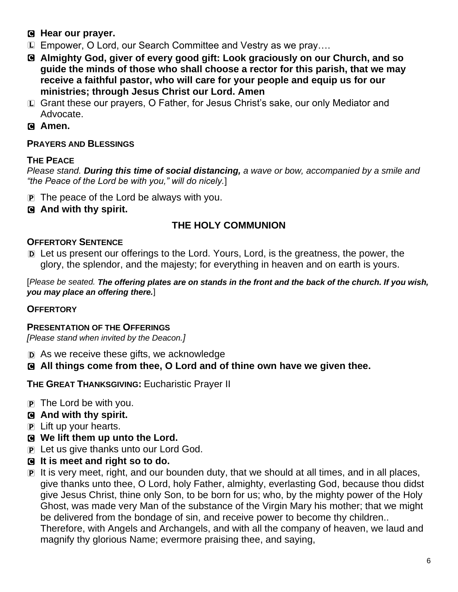- C **Hear our prayer.**
- L Empower, O Lord, our Search Committee and Vestry as we pray….
- C **Almighty God, giver of every good gift: Look graciously on our Church, and so guide the minds of those who shall choose a rector for this parish, that we may receive a faithful pastor, who will care for your people and equip us for our ministries; through Jesus Christ our Lord. Amen**
- L Grant these our prayers, O Father, for Jesus Christ's sake, our only Mediator and Advocate.
- C **Amen.**

#### **PRAYERS AND BLESSINGS**

#### **THE PEACE**

*Please stand. During this time of social distancing, a wave or bow, accompanied by a smile and "the Peace of the Lord be with you," will do nicely.*]

- P The peace of the Lord be always with you.
- C **And with thy spirit.**

# **THE HOLY COMMUNION**

#### **OFFERTORY SENTENCE**

D Let us present our offerings to the Lord. Yours, Lord, is the greatness, the power, the glory, the splendor, and the majesty; for everything in heaven and on earth is yours.

[*Please be seated. The offering plates are on stands in the front and the back of the church. If you wish, you may place an offering there.*]

#### **OFFERTORY**

#### **PRESENTATION OF THE OFFERINGS**

*[Please stand when invited by the Deacon.]*

D As we receive these gifts, we acknowledge

C **All things come from thee, O Lord and of thine own have we given thee.**

**THE GREAT THANKSGIVING:** Eucharistic Prayer II

- $\overline{P}$  The Lord be with you.
- C **And with thy spirit.**
- P Lift up your hearts.
- C **We lift them up unto the Lord.**
- P Let us give thanks unto our Lord God.
- C **It is meet and right so to do.**
- P It is very meet, right, and our bounden duty, that we should at all times, and in all places, give thanks unto thee, O Lord, holy Father, almighty, everlasting God, because thou didst give Jesus Christ, thine only Son, to be born for us; who, by the mighty power of the Holy Ghost, was made very Man of the substance of the Virgin Mary his mother; that we might be delivered from the bondage of sin, and receive power to become thy children.. Therefore, with Angels and Archangels, and with all the company of heaven, we laud and magnify thy glorious Name; evermore praising thee, and saying,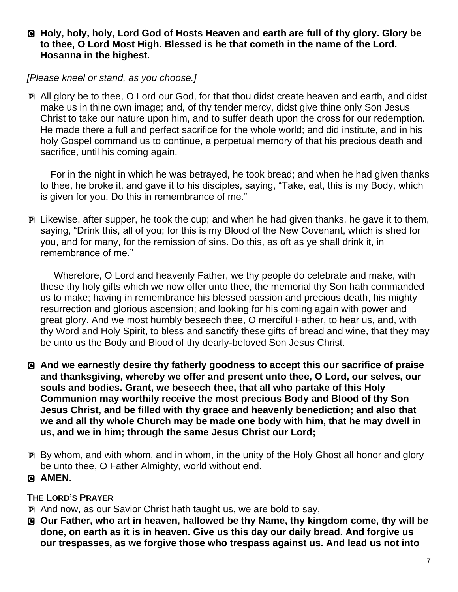#### C **Holy, holy, holy, Lord God of Hosts Heaven and earth are full of thy glory. Glory be to thee, O Lord Most High. Blessed is he that cometh in the name of the Lord. Hosanna in the highest.**

## *[Please kneel or stand, as you choose.]*

P All glory be to thee, O Lord our God, for that thou didst create heaven and earth, and didst make us in thine own image; and, of thy tender mercy, didst give thine only Son Jesus Christ to take our nature upon him, and to suffer death upon the cross for our redemption. He made there a full and perfect sacrifice for the whole world; and did institute, and in his holy Gospel command us to continue, a perpetual memory of that his precious death and sacrifice, until his coming again.

For in the night in which he was betrayed, he took bread; and when he had given thanks to thee, he broke it, and gave it to his disciples, saying, "Take, eat, this is my Body, which is given for you. Do this in remembrance of me."

P Likewise, after supper, he took the cup; and when he had given thanks, he gave it to them, saying, "Drink this, all of you; for this is my Blood of the New Covenant, which is shed for you, and for many, for the remission of sins. Do this, as oft as ye shall drink it, in remembrance of me."

Wherefore, O Lord and heavenly Father, we thy people do celebrate and make, with these thy holy gifts which we now offer unto thee, the memorial thy Son hath commanded us to make; having in remembrance his blessed passion and precious death, his mighty resurrection and glorious ascension; and looking for his coming again with power and great glory. And we most humbly beseech thee, O merciful Father, to hear us, and, with thy Word and Holy Spirit, to bless and sanctify these gifts of bread and wine, that they may be unto us the Body and Blood of thy dearly-beloved Son Jesus Christ.

- C **And we earnestly desire thy fatherly goodness to accept this our sacrifice of praise and thanksgiving, whereby we offer and present unto thee, O Lord, our selves, our souls and bodies. Grant, we beseech thee, that all who partake of this Holy Communion may worthily receive the most precious Body and Blood of thy Son Jesus Christ, and be filled with thy grace and heavenly benediction; and also that we and all thy whole Church may be made one body with him, that he may dwell in us, and we in him; through the same Jesus Christ our Lord;**
- P By whom, and with whom, and in whom, in the unity of the Holy Ghost all honor and glory be unto thee, O Father Almighty, world without end.
- C **AMEN.**

#### **THE LORD'S PRAYER**

- P And now, as our Savior Christ hath taught us, we are bold to say,
- C **Our Father, who art in heaven, hallowed be thy Name, thy kingdom come, thy will be done, on earth as it is in heaven. Give us this day our daily bread. And forgive us our trespasses, as we forgive those who trespass against us. And lead us not into**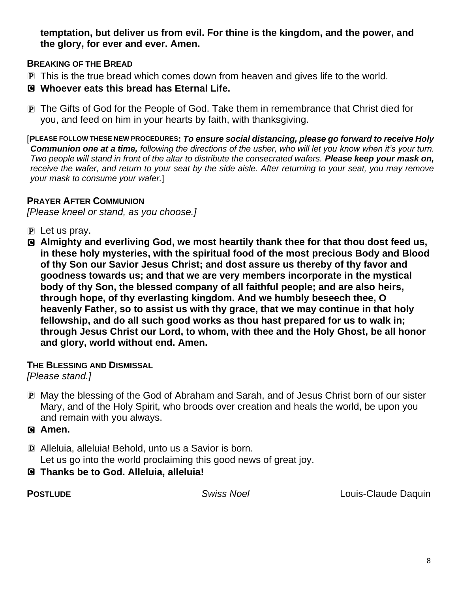**temptation, but deliver us from evil. For thine is the kingdom, and the power, and the glory, for ever and ever. Amen.**

#### **BREAKING OF THE BREAD**

- P This is the true bread which comes down from heaven and gives life to the world.
- C **Whoever eats this bread has Eternal Life.**
- P The Gifts of God for the People of God. Take them in remembrance that Christ died for you, and feed on him in your hearts by faith, with thanksgiving.

[**PLEASE FOLLOW THESE NEW PROCEDURES:** *To ensure social distancing, please go forward to receive Holy Communion one at a time, following the directions of the usher, who will let you know when it's your turn. Two people will stand in front of the altar to distribute the consecrated wafers. Please keep your mask on, receive the wafer, and return to your seat by the side aisle. After returning to your seat, you may remove your mask to consume your wafer.*]

#### **PRAYER AFTER COMMUNION**

*[Please kneel or stand, as you choose.]*

- $\overline{P}$  Let us pray.
- C **Almighty and everliving God, we most heartily thank thee for that thou dost feed us, in these holy mysteries, with the spiritual food of the most precious Body and Blood of thy Son our Savior Jesus Christ; and dost assure us thereby of thy favor and goodness towards us; and that we are very members incorporate in the mystical body of thy Son, the blessed company of all faithful people; and are also heirs, through hope, of thy everlasting kingdom. And we humbly beseech thee, O heavenly Father, so to assist us with thy grace, that we may continue in that holy fellowship, and do all such good works as thou hast prepared for us to walk in; through Jesus Christ our Lord, to whom, with thee and the Holy Ghost, be all honor and glory, world without end. Amen.**

#### **THE BLESSING AND DISMISSAL**

#### *[Please stand.]*

P May the blessing of the God of Abraham and Sarah, and of Jesus Christ born of our sister Mary, and of the Holy Spirit, who broods over creation and heals the world, be upon you and remain with you always.

#### C **Amen.**

- D Alleluia, alleluia! Behold, unto us a Savior is born. Let us go into the world proclaiming this good news of great joy.
- C **Thanks be to God. Alleluia, alleluia!**

**POSTLUDE** *Swiss Noel* Louis-Claude Daquin